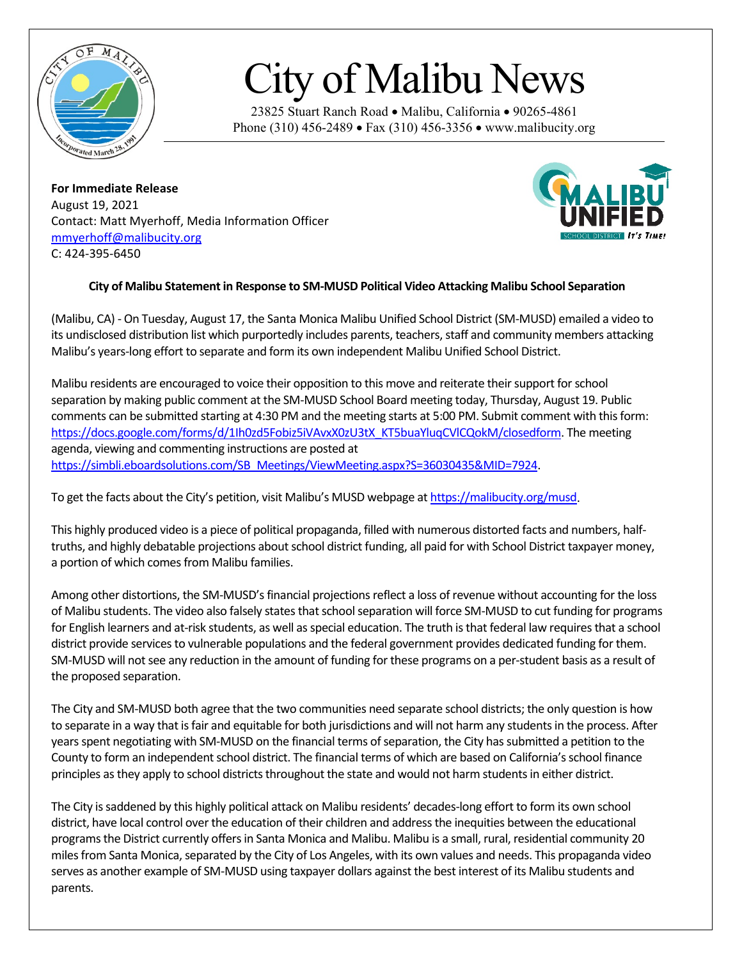

## City of Malibu News

23825 Stuart Ranch Road • Malibu, California • 90265-4861 Phone (310) 456-2489 • Fax (310) 456-3356 • www.malibucity.org

**For Immediate Release** August 19, 2021 Contact: Matt Myerhoff, Media Information Officer [mmyerhoff@malibucity.org](mailto:mmyerhoff@malibucity.org) C: 424-395-6450



## **City of Malibu Statement in Response to SM-MUSD Political Video Attacking Malibu School Separation**

(Malibu, CA) - On Tuesday, August 17, the Santa Monica Malibu Unified School District (SM-MUSD) emailed a video to its undisclosed distribution list which purportedly includes parents, teachers, staff and community members attacking Malibu's years-long effort to separate and form its own independent Malibu Unified School District.

Malibu residents are encouraged to voice their opposition to this move and reiterate their support for school separation by making public comment at the SM-MUSD School Board meeting today, Thursday, August 19. Public comments can be submitted starting at 4:30 PM and the meeting starts at 5:00 PM. Submit comment with this form: [https://docs.google.com/forms/d/1Ih0zd5Fobiz5iVAvxX0zU3tX\\_KT5buaYluqCVlCQokM/closedform.](https://docs.google.com/forms/d/1Ih0zd5Fobiz5iVAvxX0zU3tX_KT5buaYluqCVlCQokM/closedform) The meeting agenda, viewing and commenting instructions are posted at [https://simbli.eboardsolutions.com/SB\\_Meetings/ViewMeeting.aspx?S=36030435&MID=7924.](https://simbli.eboardsolutions.com/SB_Meetings/ViewMeeting.aspx?S=36030435&MID=7924)

To get the facts about the City's petition, visit Malibu's MUSD webpage a[t https://malibucity.org/musd.](https://malibucity.org/musd)

This highly produced video is a piece of political propaganda, filled with numerous distorted facts and numbers, halftruths, and highly debatable projections about school district funding, all paid for with School District taxpayer money, a portion of which comes from Malibu families.

Among other distortions, the SM-MUSD's financial projections reflect a loss of revenue without accounting for the loss of Malibu students. The video also falsely states that school separation will force SM-MUSD to cut funding for programs for English learners and at-risk students, as well as special education. The truth is that federal law requires that a school district provide services to vulnerable populations and the federal government provides dedicated funding for them. SM-MUSD will not see any reduction in the amount of funding for these programs on a per-student basis as a result of the proposed separation.

The City and SM-MUSD both agree that the two communities need separate school districts; the only question is how to separate in a way that is fair and equitable for both jurisdictions and will not harm any students in the process. After years spent negotiating with SM-MUSD on the financial terms of separation, the City has submitted a petition to the County to form an independent school district. The financial terms of which are based on California's school finance principles as they apply to school districts throughout the state and would not harm students in either district.

The City is saddened by this highly political attack on Malibu residents' decades-long effort to form its own school district, have local control over the education of their children and address the inequities between the educational programs the District currently offers in Santa Monica and Malibu. Malibu is a small, rural, residential community 20 miles from Santa Monica, separated by the City of Los Angeles, with its own values and needs. This propaganda video serves as another example of SM-MUSD using taxpayer dollars against the best interest of its Malibu students and parents.